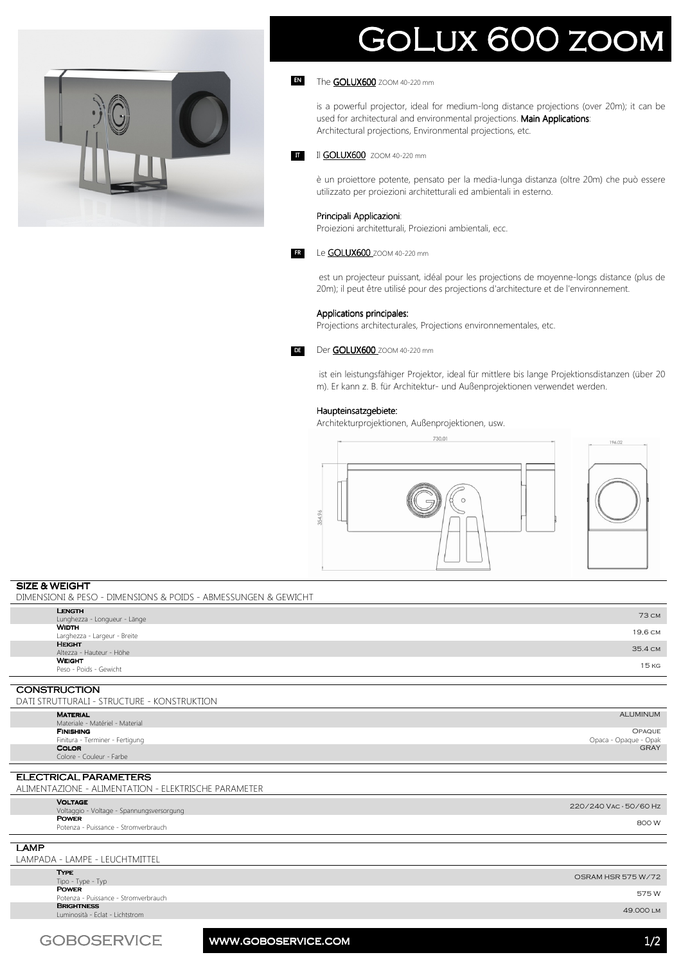

# GOLUX 600 ZOON

#### The **GOLUX600** ZOOM 40-220 mm EN

is a powerful projector, ideal for medium-long distance projections (over 20m); it can be used for architectural and environmental projections. Main Applications: Architectural projections, Environmental projections, etc.

Il GOLUX600 ZOOM 40-220 mm **IT** 

> è un proiettore potente, pensato per la media-lunga distanza (oltre 20m) che può essere utilizzato per proiezioni architetturali ed ambientali in esterno.

#### Principali Applicazioni:

Proiezioni architetturali, Proiezioni ambientali, ecc.

#### Le **GOLUX600** ZOOM 40-220 mm

 est un projecteur puissant, idéal pour les projections de moyenne-longs distance (plus de 20m); il peut être utilisé pour des projections d'architecture et de l'environnement.

#### Applications principales:

Projections architecturales, Projections environnementales, etc.



FR

Der GOLUX600 ZOOM 40-220 mm

 ist ein leistungsfähiger Projektor, ideal für mittlere bis lange Projektionsdistanzen (über 20 m). Er kann z. B. für Architektur- und Außenprojektionen verwendet werden.

#### Haupteinsatzgebiete:

Architekturprojektionen, Außenprojektionen, usw.



## **SIZE & WEIGHT**

DIMENSIONI & PESO - DIMENSIONS & POIDS - ABMESSUNGEN & GEWICHT **LENGTH** Lunghezza - Longueur - Länge 73 cm<br>Lunghezza - Longueur - Länge 73 cm – 1990<br>WIDTH **VIDTH**<br>arghezza - Largeur - Breite 19,6 cm HEIGHT<br>Altezza - Hauteur - Höhe n Luchin III alternative and the state of the state of the state of the state of the state of the state of the state of the state of the state of the state of the state of the state of the state of the state of the state **WEIGHT**<br>Peso - Poids - Gewicht • Law and the second of the second of the second of the second of the second of the second of the second of the second of the second of the second of the second of the second of the second of the second of the second of t

### **CONSTRUCTION**

| DATI STRUTTURALI - STRUCTURE - KONSTRUKTION                 |                        |
|-------------------------------------------------------------|------------------------|
| <b>MATERIAL</b>                                             | <b>ALUMINUM</b>        |
| Materiale - Matériel - Material<br><b>FINISHING</b>         | <b>OPAQUE</b>          |
| Finitura - Terminer - Fertigung                             | Opaca - Opaque - Opak  |
| <b>COLOR</b>                                                | <b>GRAY</b>            |
| Colore - Couleur - Farbe                                    |                        |
| ELECTRICAL PARAMETERS                                       |                        |
|                                                             |                        |
| ALIMENTAZIONE - ALIMENTATION - ELEKTRISCHE PARAMETER        |                        |
| <b>VOLTAGE</b><br>Voltaggio - Voltage - Spannungsversorgung | 220/240 VAC - 50/60 Hz |

**POWER** 

**POWER**<br>Potenza - Puissance - Stromverbrauch 800 W

LAMP

LAMPADA - LAMPE - LEUCHTMITTEL

Type

tip\_c\_type - Type - Type - Type - Type - Type - Type - Type - Type - Type - Type - Type - Type - Type - Type - Type - Type - Type - Type - Type - Type - Type - Type - Type - Type - Type - Type - Type - Type - Type - Type Power **POWER**<br>Potenza - Puissance - Stromverbrauch 575 W **BRIGHTNESS**<br>Luminosità - Eclat - Lichtstrom Luminosità - Eclat - Lichtstrom 49.000 lm

GOBOSERVICE www.goboservice.com 1/2